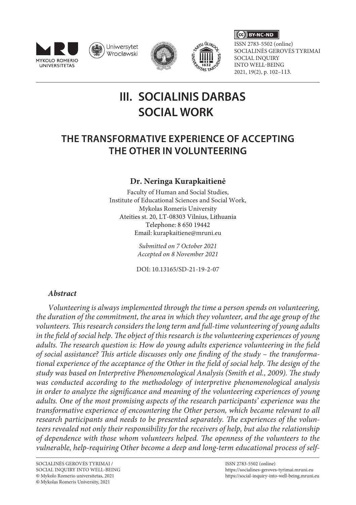







 $\overline{(\overline{c}\overline{c})\overline{b}}$  BY-NC-ND

ISSN 2783-5502 (online) SOCIALINĖS GEROVĖS TYRIMAI SOCIAL INQUIRY INTO WELL-BEING 2021, 19(2), p. 102–113.

# **III. SOCIALINIS DARBAS SOCIAL WORK**

# **THE TRANSFORMATIVE EXPERIENCE OF ACCEPTING THE OTHER IN VOLUNTEERING**

## **Dr. Neringa Kurapkaitienė**

Faculty of Human and Social Studies, Institute of Educational Sciences and Social Work, Mykolas Romeris University Ateities st. 20, LT-08303 Vilnius, Lithuania Telephone: 8 650 19442 Email: [kurapkaitiene@mruni.eu](mailto:kurapkaitiene@mruni.eu)

> *Submitted on 7 October 2021 Accepted on 8 November 2021*

> DOI: 10.13165/SD-21-19-2-07

### *Abstract*

*Volunteering is always implemented through the time a person spends on volunteering, the duration of the commitment, the area in which they volunteer, and the age group of the volunteers. This research considers the long term and full-time volunteering of young adults in the field of social help. The object of this research is the volunteering experiences of young adults. The research question is: How do young adults experience volunteering in the field of social assistance? This article discusses only one finding of the study – the transformational experience of the acceptance of the Other in the field of social help. The design of the study was based on Interpretive Phenomenological Analysis (Smith et al., 2009). The study was conducted according to the methodology of interpretive phenomenological analysis in order to analyze the significance and meaning of the volunteering experiences of young adults. One of the most promising aspects of the research participants' experience was the transformative experience of encountering the Other person, which became relevant to all research participants and needs to be presented separately. The experiences of the volunteers revealed not only their responsibility for the receivers of help, but also the relationship of dependence with those whom volunteers helped. The openness of the volunteers to the vulnerable, help-requiring Other become a deep and long-term educational process of self-*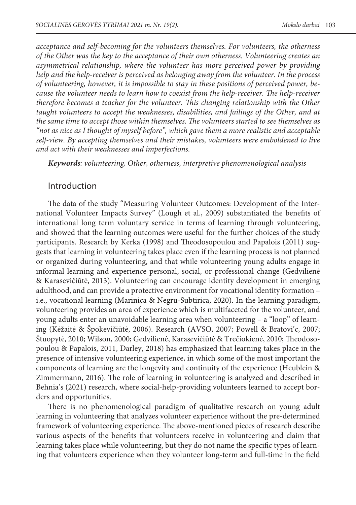*acceptance and self-becoming for the volunteers themselves. For volunteers, the otherness of the Other was the key to the acceptance of their own otherness. Volunteering creates an asymmetrical relationship, where the volunteer has more perceived power by providing help and the help-receiver is perceived as belonging away from the volunteer. In the process of volunteering, however, it is impossible to stay in these positions of perceived power, because the volunteer needs to learn how to coexist from the help-receiver. The help-receiver therefore becomes a teacher for the volunteer. This changing relationship with the Other taught volunteers to accept the weaknesses, disabilities, and failings of the Other, and at the same time to accept those within themselves. The volunteers started to see themselves as "not as nice as I thought of myself before", which gave them a more realistic and acceptable self-view. By accepting themselves and their mistakes, volunteers were emboldened to live and act with their weaknesses and imperfections.*

*Keywords: volunteering, Other, otherness, interpretive phenomenological analysis*

#### Introduction

The data of the study "Measuring Volunteer Outcomes: Development of the International Volunteer Impacts Survey" (Lough et al., 2009) substantiated the benefits of international long term voluntary service in terms of learning through volunteering, and showed that the learning outcomes were useful for the further choices of the study participants. Research by Kerka (1998) and Theodosopoulou and Papalois (2011) suggests that learning in volunteering takes place even if the learning process is not planned or organized during volunteering, and that while volunteering young adults engage in informal learning and experience personal, social, or professional change (Gedvilienė & Karasevičiūtė, 2013). Volunteering can encourage identity development in emerging adulthood, and can provide a protective environment for vocational identity formation – i.e., vocational learning (Marinica & Negru-Subtirica, 2020). In the learning paradigm, volunteering provides an area of experience which is multifaceted for the volunteer, and young adults enter an unavoidable learning area when volunteering – a "loop" of learning (Kėžaitė & Špokevičiūtė, 2006). Research (AVSO, 2007; Powell & Bratovi'c, 2007; Štuopytė, 2010; Wilson, 2000; Gedvilienė, Karasevičiūtė & Trečiokienė, 2010; Theodosopoulou & Papalois, 2011, Darley, 2018) has emphasized that learning takes place in the presence of intensive volunteering experience, in which some of the most important the components of learning are the longevity and continuity of the experience (Heublein & Zimmermann, 2016). The role of learning in volunteering is analyzed and described in Behnia's (2021) research, where social-help-providing volunteers learned to accept borders and opportunities.

There is no phenomenological paradigm of qualitative research on young adult learning in volunteering that analyzes volunteer experience without the pre-determined framework of volunteering experience. The above-mentioned pieces of research describe various aspects of the benefits that volunteers receive in volunteering and claim that learning takes place while volunteering, but they do not name the specific types of learning that volunteers experience when they volunteer long-term and full-time in the field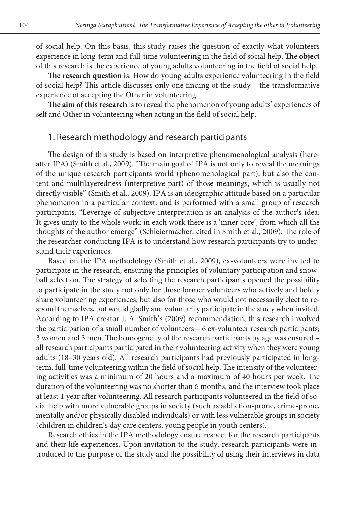of social help. On this basis, this study raises the question of exactly what volunteers experience in long-term and full-time volunteering in the field of social help. **The object** of this research is the experience of young adults volunteering in the field of social help.

**The research question** is: How do young adults experience volunteering in the field of social help? This article discusses only one finding of the study – the transformative experience of accepting the Other in volunteering.

**The aim of this research** is to reveal the phenomenon of young adults' experiences of self and Other in volunteering when acting in the field of social help.

#### 1. Research methodology and research participants

The design of this study is based on interpretive phenomenological analysis (hereafter IPA) (Smith et al., 2009). "The main goal of IPA is not only to reveal the meanings of the unique research participants world (phenomenological part), but also the content and multilayeredness (interpretive part) of those meanings, which is usually not directly visible" (Smith et al., 2009). IPA is an ideographic attitude based on a particular phenomenon in a particular context, and is performed with a small group of research participants. "Leverage of subjective interpretation is an analysis of the author's idea. It gives unity to the whole work: in each work there is a 'inner core', from which all the thoughts of the author emerge" (Schleiermacher, cited in Smith et al., 2009). The role of the researcher conducting IPA is to understand how research participants try to understand their experiences.

Based on the IPA methodology (Smith et al., 2009), ex-volunteers were invited to participate in the research, ensuring the principles of voluntary participation and snowball selection. The strategy of selecting the research participants opened the possibility to participate in the study not only for those former volunteers who actively and boldly share volunteering experiences, but also for those who would not necessarily elect to respond themselves, but would gladly and voluntarily participate in the study when invited. According to IPA creator J. A. Smith's (2009) recommendation, this research involved the participation of a small number of volunteers – 6 ex-volunteer research participants; 3 women and 3 men. The homogeneity of the research participants by age was ensured – all research participants participated in their volunteering activity when they were young adults (18–30 years old). All research participants had previously participated in longterm, full-time volunteering within the field of social help. The intensity of the volunteering activities was a minimum of 20 hours and a maximum of 40 hours per week. The duration of the volunteering was no shorter than 6 months, and the interview took place at least 1 year after volunteering. All research participants volunteered in the field of social help with more vulnerable groups in society (such as addiction-prone, crime-prone, mentally and/or physically disabled individuals) or with less vulnerable groups in society (children in children's day care centers, young people in youth centers).

Research ethics in the IPA methodology ensure respect for the research participants and their life experiences. Upon invitation to the study, research participants were introduced to the purpose of the study and the possibility of using their interviews in data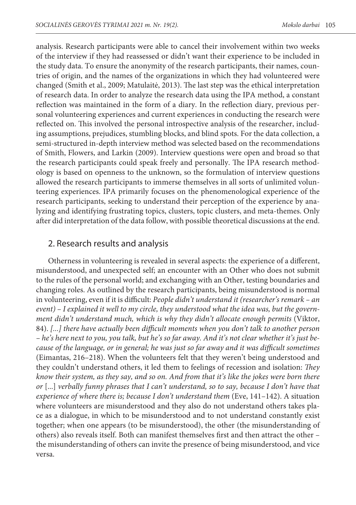analysis. Research participants were able to cancel their involvement within two weeks of the interview if they had reassessed or didn't want their experience to be included in the study data. To ensure the anonymity of the research participants, their names, countries of origin, and the names of the organizations in which they had volunteered were changed (Smith et al., 2009; Matulaitė, 2013). The last step was the ethical interpretation of research data. In order to analyze the research data using the IPA method, a constant reflection was maintained in the form of a diary. In the reflection diary, previous personal volunteering experiences and current experiences in conducting the research were reflected on. This involved the personal introspective analysis of the researcher, including assumptions, prejudices, stumbling blocks, and blind spots. For the data collection, a semi-structured in-depth interview method was selected based on the recommendations of Smith, Flowers, and Larkin (2009). Interview questions were open and broad so that the research participants could speak freely and personally. The IPA research methodology is based on openness to the unknown, so the formulation of interview questions allowed the research participants to immerse themselves in all sorts of unlimited volunteering experiences. IPA primarily focuses on the phenomenological experience of the research participants, seeking to understand their perception of the experience by analyzing and identifying frustrating topics, clusters, topic clusters, and meta-themes. Only after did interpretation of the data follow, with possible theoretical discussions at the end.

### 2. Research results and analysis

Otherness in volunteering is revealed in several aspects: the experience of a different, misunderstood, and unexpected self; an encounter with an Other who does not submit to the rules of the personal world; and exchanging with an Other, testing boundaries and changing roles. As outlined by the research participants, being misunderstood is normal in volunteering, even if it is difficult: *People didn't understand it (researcher's remark – an event) – I explained it well to my circle, they understood what the idea was, but the government didn't understand much, which is why they didn't allocate enough permits (Viktor,* 84). *[...] there have actually been difficult moments when you don't talk to another person – he's here next to you, you talk, but he's so far away. And it's not clear whether it's just because of the language, or in general; he was just so far away and it was difficult sometimes* (Eimantas, 216–218). When the volunteers felt that they weren't being understood and they couldn't understand others, it led them to feelings of recession and isolation: *They know their system, as they say, and so on. And from that it's like the jokes were born there or* [...] *verbally funny phrases that I can't understand, so to say, because I don't have that experience of where there is; because I don't understand them* (Eve, 141–142). A situation where volunteers are misunderstood and they also do not understand others takes place as a dialogue, in which to be misunderstood and to not understand constantly exist together; when one appears (to be misunderstood), the other (the misunderstanding of others) also reveals itself. Both can manifest themselves first and then attract the other – the misunderstanding of others can invite the presence of being misunderstood, and vice versa.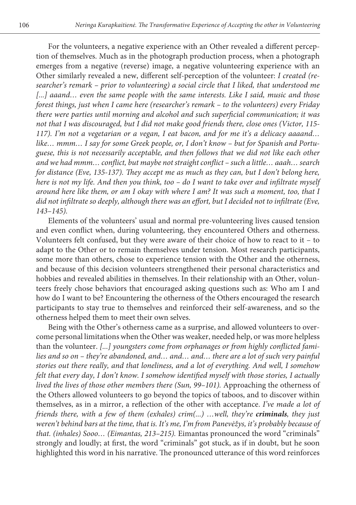For the volunteers, a negative experience with an Other revealed a different perception of themselves. Much as in the photograph production process, when a photograph emerges from a negative (reverse) image, a negative volunteering experience with an Other similarly revealed a new, different self-perception of the volunteer: *I created (researcher's remark – prior to volunteering) a social circle that I liked, that understood me*  [...] aaand... even the same people with the same interests. Like I said, music and those *forest things, just when I came here (researcher's remark – to the volunteers) every Friday there were parties until morning and alcohol and such superficial communication; it was not that I was discouraged, but I did not make good friends there, close ones (Victor, 115- 117). I'm not a vegetarian or a vegan, I eat bacon, and for me it's a delicacy aaaand… like… mmm… I say for some Greek people, or, I don't know – but for Spanish and Portuguese, this is not necessarily acceptable, and then follows that we did not like each other and we had mmm… conflict, but maybe not straight conflict – such a little… aaah… search for distance (Eve, 135-137). They accept me as much as they can, but I don't belong here, here is not my life. And then you think, too – do I want to take over and infiltrate myself around here like them, or am I okay with where I am? It was such a moment, too, that I did not infiltrate so deeply, although there was an effort, but I decided not to infiltrate (Eve, 143–145).*

Elements of the volunteers' usual and normal pre-volunteering lives caused tension and even conflict when, during volunteering, they encountered Others and otherness. Volunteers felt confused, but they were aware of their choice of how to react to it – to adapt to the Other or to remain themselves under tension. Most research participants, some more than others, chose to experience tension with the Other and the otherness, and because of this decision volunteers strengthened their personal characteristics and hobbies and revealed abilities in themselves. In their relationship with an Other, volunteers freely chose behaviors that encouraged asking questions such as: Who am I and how do I want to be? Encountering the otherness of the Others encouraged the research participants to stay true to themselves and reinforced their self-awareness, and so the otherness helped them to meet their own selves.

Being with the Other's otherness came as a surprise, and allowed volunteers to overcome personal limitations when the Other was weaker, needed help, or was more helpless than the volunteer. *[...] youngsters come from orphanages or from highly conflicted fami*lies and so on – they're abandoned, and... and... and... there are a lot of such very painful *stories out there really, and that loneliness, and a lot of everything. And well, I somehow felt that every day, I don't know. I somehow identified myself with those stories, I actually lived the lives of those other members there (Sun, 99–101).* Approaching the otherness of the Others allowed volunteers to go beyond the topics of taboos, and to discover within themselves, as in a mirror, a reflection of the other with acceptance. *I've made a lot of friends there, with a few of them (exhales) crim(...) …well, they're criminals, they just weren't behind bars at the time, that is. It's me, I'm from Panevėžys, it's probably because of that. (inhales) Sooo… (Eimantas, 213–215).* Eimantas pronounced the word "criminals" strongly and loudly; at first, the word "criminals" got stuck, as if in doubt, but he soon highlighted this word in his narrative. The pronounced utterance of this word reinforces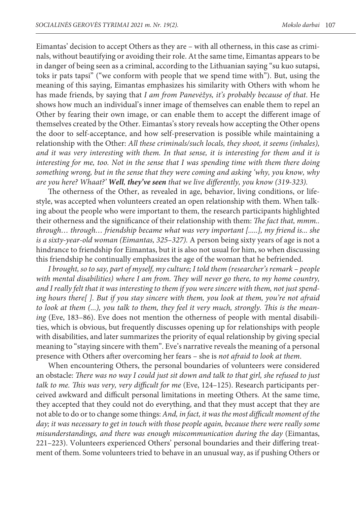Eimantas' decision to accept Others as they are – with all otherness, in this case as criminals, without beautifying or avoiding their role. At the same time, Eimantas appears to be in danger of being seen as a criminal, according to the Lithuanian saying "su kuo sutapsi, toks ir pats tapsi" ("we conform with people that we spend time with"). But, using the meaning of this saying, Eimantas emphasizes his similarity with Others with whom he has made friends, by saying that *I am from Panevėžys, it's probably because of that*. He shows how much an individual's inner image of themselves can enable them to repel an Other by fearing their own image, or can enable them to accept the different image of themselves created by the Other. Eimantas's story reveals how accepting the Other opens the door to self-acceptance, and how self-preservation is possible while maintaining a relationship with the Other: *All these criminals/such locals, they shoot, it seems (inhales), and it was very interesting with them. In that sense, it is interesting for them and it is interesting for me, too. Not in the sense that I was spending time with them there doing something wrong, but in the sense that they were coming and asking 'why, you know, why are you here? Whaat?' Well, they've seen that we live differently, you know (319-323).* 

The otherness of the Other, as revealed in age, behavior, living conditions, or lifestyle, was accepted when volunteers created an open relationship with them. When talking about the people who were important to them, the research participants highlighted their otherness and the significance of their relationship with them: *The fact that, mmm.. through… through… friendship became what was very important [.....], my friend is... she is a sixty-year-old woman (Eimantas, 325–327).* A person being sixty years of age is not a hindrance to friendship for Eimantas, but it is also not usual for him, so when discussing this friendship he continually emphasizes the age of the woman that he befriended.

*I brought, so to say, part of myself, my culture; I told them (researcher's remark – people with mental disabilities) where I am from. They will never go there, to my home country, and I really felt that it was interesting to them if you were sincere with them, not just spending hours there[ ]. But if you stay sincere with them, you look at them, you're not afraid to look at them (...), you talk to them, they feel it very much, strongly. This is the meaning* (Eve, 183–86). Eve does not mention the otherness of people with mental disabilities, which is obvious, but frequently discusses opening up for relationships with people with disabilities, and later summarizes the priority of equal relationship by giving special meaning to "staying sincere with them". Eve's narrative reveals the meaning of a personal presence with Others after overcoming her fears – she is *not afraid to look at them*.

When encountering Others, the personal boundaries of volunteers were considered an obstacle: *There was no way I could just sit down and talk to that girl, she refused to just*  talk to me. This was very, very difficult for me (Eve, 124-125). Research participants perceived awkward and difficult personal limitations in meeting Others. At the same time, they accepted that they could not do everything, and that they must accept that they are not able to do or to change some things: *And, in fact, it was the most difficult moment of the day; it was necessary to get in touch with those people again, because there were really some misunderstandings, and there was enough miscommunication during the day* (Eimantas, 221–223). Volunteers experienced Others' personal boundaries and their differing treatment of them. Some volunteers tried to behave in an unusual way, as if pushing Others or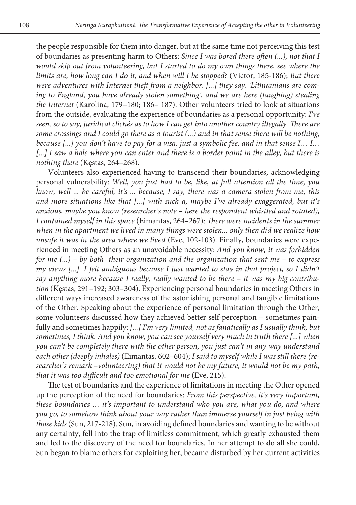the people responsible for them into danger, but at the same time not perceiving this test of boundaries as presenting harm to Others: *Since I was bored there often (...), not that I would skip out from volunteering, but I started to do my own things there, see where the limits are, how long can I do it, and when will I be stopped?* (Victor, 185-186); *But there were adventures with Internet theft from a neighbor, [...] they say, 'Lithuanians are coming to England, you have already stolen something', and we are here (laughing) stealing the Internet* (Karolina, 179–180; 186– 187). Other volunteers tried to look at situations from the outside, evaluating the experience of boundaries as a personal opportunity: *I've seen, so to say, juridical clichés as to how I can get into another country illegally. There are some crossings and I could go there as a tourist (...) and in that sense there will be nothing, because [...] you don't have to pay for a visa, just a symbolic fee, and in that sense I… I…*  [...] I saw a hole where you can enter and there is a border point in the alley, but there is *nothing there* (Kęstas, 264–268).

Volunteers also experienced having to transcend their boundaries, acknowledging personal vulnerability: *Well, you just had to be, like, at full attention all the time, you know, well ... be careful, it's ... because, I say, there was a camera stolen from me, this and more situations like that [...] with such a, maybe I've already exaggerated, but it's anxious, maybe you know (researcher's note – here the respondent whistled and rotated), I contained myself in this space* (Eimantas, 264–267)*; There were incidents in the summer when in the apartment we lived in many things were stolen... only then did we realize how unsafe it was in the area where we lived* (Eve, 102-103). Finally, boundaries were experienced in meeting Others as an unavoidable necessity: *And you know, it was forbidden for me (...) – by both their organization and the organization that sent me – to express my views [...]. I felt ambiguous because I just wanted to stay in that project, so I didn't say anything more because I really, really wanted to be there – it was my big contribution* (Kęstas, 291–192; 303–304). Experiencing personal boundaries in meeting Others in different ways increased awareness of the astonishing personal and tangible limitations of the Other. Speaking about the experience of personal limitation through the Other, some volunteers discussed how they achieved better self-perception – sometimes painfully and sometimes happily: *[...] I'm very limited, not as fanatically as I usually think, but sometimes, I think. And you know, you can see yourself very much in truth there [...] when you can't be completely there with the other person, you just can't in any way understand each other (deeply inhales)* (Eimantas, 602–604); *I said to myself while I was still there (researcher's remark –volunteering) that it would not be my future, it would not be my path, that it was too difficult and too emotional for me* (Eve, 215).

The test of boundaries and the experience of limitations in meeting the Other opened up the perception of the need for boundaries: *From this perspective, it's very important, these boundaries … it's important to understand who you are, what you do, and where you go, to somehow think about your way rather than immerse yourself in just being with those kids* (Sun, 217-218). Sun, in avoiding defined boundaries and wanting to be without any certainty, fell into the trap of limitless commitment, which greatly exhausted them and led to the discovery of the need for boundaries. In her attempt to do all she could, Sun began to blame others for exploiting her, became disturbed by her current activities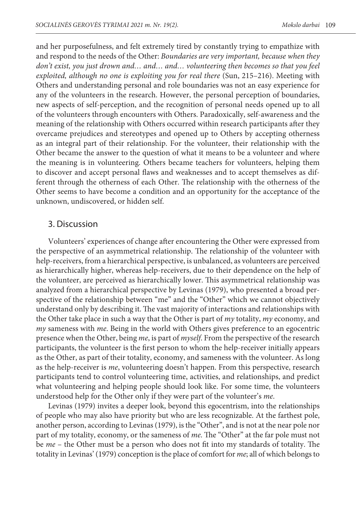and her purposefulness, and felt extremely tired by constantly trying to empathize with and respond to the needs of the Other: *Boundaries are very important, because when they don't exist, you just drown and… and… and… volunteering then becomes so that you feel exploited, although no one is exploiting you for real there* (Sun, 215–216). Meeting with Others and understanding personal and role boundaries was not an easy experience for any of the volunteers in the research. However, the personal perception of boundaries, new aspects of self-perception, and the recognition of personal needs opened up to all of the volunteers through encounters with Others. Paradoxically, self-awareness and the meaning of the relationship with Others occurred within research participants after they overcame prejudices and stereotypes and opened up to Others by accepting otherness as an integral part of their relationship. For the volunteer, their relationship with the Other became the answer to the question of what it means to be a volunteer and where the meaning is in volunteering. Others became teachers for volunteers, helping them to discover and accept personal flaws and weaknesses and to accept themselves as different through the otherness of each Other. The relationship with the otherness of the Other seems to have become a condition and an opportunity for the acceptance of the unknown, undiscovered, or hidden self.

#### 3. Discussion

Volunteers' experiences of change after encountering the Other were expressed from the perspective of an asymmetrical relationship. The relationship of the volunteer with help-receivers, from a hierarchical perspective, is unbalanced, as volunteers are perceived as hierarchically higher, whereas help-receivers, due to their dependence on the help of the volunteer, are perceived as hierarchically lower. This asymmetrical relationship was analyzed from a hierarchical perspective by Levinas (1979), who presented a broad perspective of the relationship between "me" and the "Other" which we cannot objectively understand only by describing it. The vast majority of interactions and relationships with the Other take place in such a way that the Other is part of *my* totality, *my* economy, and *my* sameness with *me*. Being in the world with Others gives preference to an egocentric presence when the Other, being *me*, is part of *myself*. From the perspective of the research participants, the volunteer is the first person to whom the help-receiver initially appears as the Other, as part of their totality, economy, and sameness with the volunteer. As long as the help-receiver is *me*, volunteering doesn't happen. From this perspective, research participants tend to control volunteering time, activities, and relationships, and predict what volunteering and helping people should look like. For some time, the volunteers understood help for the Other only if they were part of the volunteer's *me*.

Levinas (1979) invites a deeper look, beyond this egocentrism, into the relationships of people who may also have priority but who are less recognizable. At the farthest pole, another person, according to Levinas (1979), is the "Other", and is not at the near pole nor part of my totality, economy, or the sameness of *me*. The "Other" at the far pole must not be *me* – the Other must be a person who does not fit into my standards of totality. The totality in Levinas' (1979) conception is the place of comfort for *me*; all of which belongs to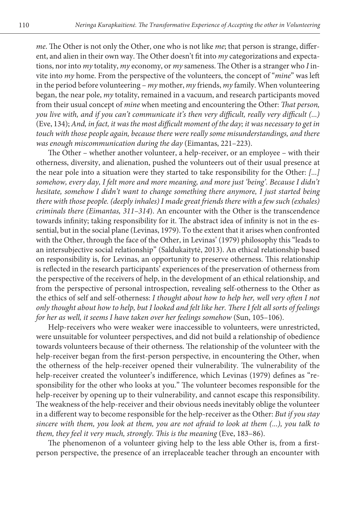*me*. The Other is not only the Other, one who is not like *me*; that person is strange, different, and alien in their own way. The Other doesn't fit into *my* categorizations and expectations, nor into *my* totality, *my* economy, or *my* sameness. The Other is a stranger who *I* invite into *my* home. From the perspective of the volunteers, the concept of "*mine*" was left in the period before volunteering – *my* mother, *my* friends, *my* family. When volunteering began, the near pole, *my* totality, remained in a vacuum, and research participants moved from their usual concept of *mine* when meeting and encountering the Other: *That person, you live with, and if you can't communicate it's then very difficult, really very difficult (...)*  (Eve, 134); *And, in fact, it was the most difficult moment of the day; it was necessary to get in touch with those people again, because there were really some misunderstandings, and there was enough miscommunication during the day* (Eimantas, 221–223).

The Other – whether another volunteer, a help-receiver, or an employee – with their otherness, diversity, and alienation, pushed the volunteers out of their usual presence at the near pole into a situation were they started to take responsibility for the Other: *[...] somehow, every day, I felt more and more meaning, and more just 'being'. Because I didn't hesitate, somehow I didn't want to change something there anymore, I just started being there with those people. (deeply inhales) I made great friends there with a few such (exhales) criminals there (Eimantas, 311–314*). An encounter with the Other is the transcendence towards infinity; taking responsibility for it. The abstract idea of infinity is not in the essential, but in the social plane (Levinas, 1979). To the extent that it arises when confronted with the Other, through the face of the Other, in Levinas' (1979) philosophy this "leads to an intersubjective social relationship" (Saldukaitytė, 2013). An ethical relationship based on responsibility is, for Levinas, an opportunity to preserve otherness. This relationship is reflected in the research participants' experiences of the preservation of otherness from the perspective of the receivers of help, in the development of an ethical relationship, and from the perspective of personal introspection, revealing self-otherness to the Other as the ethics of self and self-otherness: *I thought about how to help her, well very often I not only thought about how to help, but I looked and felt like her. There I felt all sorts of feelings for her as well, it seems I have taken over her feelings somehow* (Sun, 105–106).

Help-receivers who were weaker were inaccessible to volunteers, were unrestricted, were unsuitable for volunteer perspectives, and did not build a relationship of obedience towards volunteers because of their otherness. The relationship of the volunteer with the help-receiver began from the first-person perspective, in encountering the Other, when the otherness of the help-receiver opened their vulnerability. The vulnerability of the help-receiver created the volunteer's indifference, which Levinas (1979) defines as "responsibility for the other who looks at you." The volunteer becomes responsible for the help-receiver by opening up to their vulnerability, and cannot escape this responsibility. The weakness of the help-receiver and their obvious needs inevitably oblige the volunteer in a different way to become responsible for the help-receiver as the Other: *But if you stay sincere with them, you look at them, you are not afraid to look at them (...), you talk to them, they feel it very much, strongly. This is the meaning* (Eve, 183–86).

The phenomenon of a volunteer giving help to the less able Other is, from a firstperson perspective, the presence of an irreplaceable teacher through an encounter with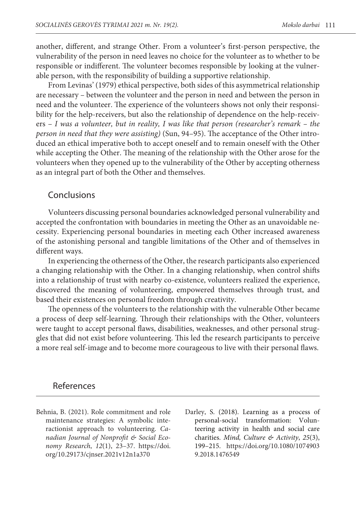another, different, and strange Other. From a volunteer's first-person perspective, the vulnerability of the person in need leaves no choice for the volunteer as to whether to be responsible or indifferent. The volunteer becomes responsible by looking at the vulnerable person, with the responsibility of building a supportive relationship.

From Levinas' (1979) ethical perspective, both sides of this asymmetrical relationship are necessary – between the volunteer and the person in need and between the person in need and the volunteer. The experience of the volunteers shows not only their responsibility for the help-receivers, but also the relationship of dependence on the help-receivers – *I was a volunteer, but in reality, I was like that person (researcher's remark – the person in need that they were assisting)* (Sun, 94–95). The acceptance of the Other introduced an ethical imperative both to accept oneself and to remain oneself with the Other while accepting the Other. The meaning of the relationship with the Other arose for the volunteers when they opened up to the vulnerability of the Other by accepting otherness as an integral part of both the Other and themselves.

#### Conclusions

Volunteers discussing personal boundaries acknowledged personal vulnerability and accepted the confrontation with boundaries in meeting the Other as an unavoidable necessity. Experiencing personal boundaries in meeting each Other increased awareness of the astonishing personal and tangible limitations of the Other and of themselves in different ways.

In experiencing the otherness of the Other, the research participants also experienced a changing relationship with the Other. In a changing relationship, when control shifts into a relationship of trust with nearby co-existence, volunteers realized the experience, discovered the meaning of volunteering, empowered themselves through trust, and based their existences on personal freedom through creativity.

The openness of the volunteers to the relationship with the vulnerable Other became a process of deep self-learning. Through their relationships with the Other, volunteers were taught to accept personal flaws, disabilities, weaknesses, and other personal struggles that did not exist before volunteering. This led the research participants to perceive a more real self-image and to become more courageous to live with their personal flaws.

#### References

- Behnia, B. (2021). Role commitment and role maintenance strategies: A symbolic interactionist approach to volunteering. *Canadian Journal of Nonprofit & Social Economy Research*, *12*(1), 23–37. [https://doi.](https://doi.org/10.29173/cjnser.2021v12n1a370) [org/10.29173/cjnser.2021v12n1a370](https://doi.org/10.29173/cjnser.2021v12n1a370)
- Darley, S. (2018). Learning as a process of personal-social transformation: Volunteering activity in health and social care charities. *Mind, Culture & Activity*, *25*(3), 199–215. [https://doi.org/10.1080/1074903](https://doi.org/10.1080/10749039.2018.1476549) [9.2018.1476549](https://doi.org/10.1080/10749039.2018.1476549)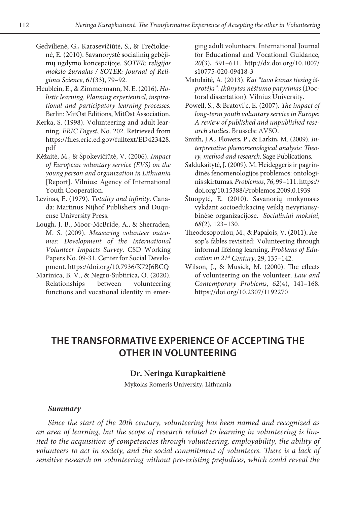- Gedvilienė, G., Karasevičiūtė, S., & Trečiokienė, E. (2010). Savanorystė socialinių gebėjimų ugdymo koncepcijoje. *SOTER: religijos mokslo žurnalas / SOTER: Journal of Religious Science*, *61*(33), 79–92.
- Heublein, E., & Zimmermann, N. E. (2016). *Holistic learning. Planning experiential, inspirational and participatory learning processes*. Berlin: MitOst Editions, MitOst Association.
- Kerka, S. (1998). Volunteering and adult learning. *ERIC Digest*, No. 202. Retrieved from [https://files.eric.ed.gov/fulltext/ED423428.](https://files.eric.ed.gov/fulltext/ED423428.pdf) [pdf](https://files.eric.ed.gov/fulltext/ED423428.pdf)
- Kėžaitė, M., & Špokevičiūtė, V. (2006). *Impact of European voluntary service (EVS) on the young person and organization in Lithuania* [Report]. Vilnius: Agency of International Youth Cooperation.
- Levinas, E. (1979). *Totality and infinity*. Canada: Martinus Nijhof Publishers and Duquense University Press.
- Lough, J. B., Moor-McBride, A., & Sherraden, M. S. (2009). *Measuring volunteer outcomes: Development of the International Volunteer Impacts Survey*. CSD Working Papers No. 09-31. Center for Social Development. <https://doi.org/10.7936/K72J6BCQ>
- Marinica, B. V., & Negru-Subtirica, O. (2020). Relationships between volunteering functions and vocational identity in emer-

ging adult volunteers*.* International Journal for Educational and Vocational Guidance, *20*(3), 591–611. [http://dx.doi.org/10.1007/](http://dx.doi.org/10.1007/s10775-020-09418-3) [s10775-020-09418-3](http://dx.doi.org/10.1007/s10775-020-09418-3) 

- Matulaitė, A. (2013). *Kai "tavo kūnas tiesiog išprotėja". Įkūnytas nėštumo patyrimas* (Doctoral dissertation). Vilnius University.
- Powell, S., & Bratovi'c, E. (2007). *The impact of long-term youth voluntary service in Europe: A review of published and unpublished research studies*. Brussels: AVSO.
- Smith, J.A., Flowers, P., & Larkin, M. (2009). *Interpretative phenomenological analysis: Theory, method and research*. Sage Publications.
- Saldukaitytė, J. (2009). M. Heideggeris ir pagrindinės fenomenologijos problemos: ontologinis skirtumas. *Problemos*, *76*, 99–111. [https://](https://doi.org/10.15388/Problemos.2009.0.1939) [doi.org/10.15388/Problemos.2009.0.1939](https://doi.org/10.15388/Problemos.2009.0.1939)
- Štuopytė, E. (2010). Savanorių mokymasis vykdant socioedukacinę veiklą nevyriausybinėse organizacijose. *Socialiniai mokslai*, *68*(2), 123–130.
- Theodosopoulou, M., & Papalois, V. (2011). Aesop's fables revisited: Volunteering through informal lifelong learning. *Problems of Education in 21st Century*, 29, 135–142.
- Wilson, J., & Musick, M. (2000). The effects of volunteering on the volunteer. *Law and Contemporary Problems*, *62*(4), 141–168. <https://doi.org/10.2307/1192270>

# **THE TRANSFORMATIVE EXPERIENCE OF ACCEPTING THE OTHER IN VOLUNTEERING**

#### **Dr. Neringa Kurapkaitienė**

Mykolas Romeris University, Lithuania

#### *Summary*

*Since the start of the 20th century, volunteering has been named and recognized as an area of learning, but the scope of research related to learning in volunteering is limited to the acquisition of competencies through volunteering, employability, the ability of volunteers to act in society, and the social commitment of volunteers. There is a lack of sensitive research on volunteering without pre-existing prejudices, which could reveal the*